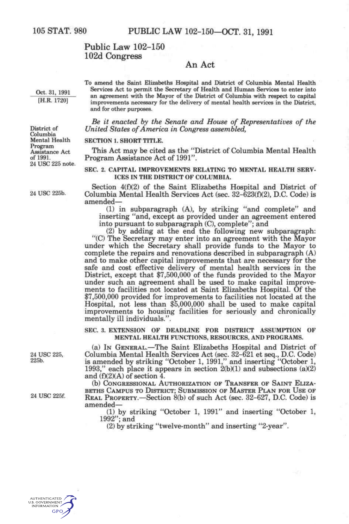# **Public Law 102-150 102d Congress**

## **An Act**

**Oct. 31. 1991 [H.R. 1720]** 

**To amend the Saint Elizabeths Hospital and District of Columbia Mental Health Services Act to permit the Secretary of Health and Human Services to enter into an agreement with the Mayor of the District of Columbia with respect to capital improvements necessary for the delivery of mental health services in the District, and for other purposes.** 

*Be it enacted by the Senate and House of Representatives of the United States of America in Congress assembled,* 

#### **SECTION 1. SHORT TITLE.**

This Act may be cited as the "District of Columbia Mental Health Program Assistance Act of 1991".

#### **SEC. 2. CAPITAL IMPROVEMENTS RELATING TO MENTAL HEALTH SERV-ICES IN THE DISTRICT OF COLUMBIA.**

Section 4(f)(2) of the Saint Elizabeths Hospital and District of Columbia Mental Health Services Act (sec. 32-623(f)(2), D.C. Code) is amended—

(1) in subparagraph (A), by striking "and complete" and inserting "and, except as provided under an agreement entered into pursuant to subparagraph (C), complete"; and

(2) by adding at the end the following new subparagraph: "(C) The Secretary may enter into an agreement with the Mayor under which the Secretary shall provide funds to the Mayor to complete the repairs and renovations described in subparagraph (A) and to make other capital improvements that are necessary for the safe and cost effective delivery of mental health services in the District, except that \$7,500,000 of the funds provided to the Mayor under such an agreement shall be used to make capital improvements to facilities not located at Saint Elizabeths Hospital. Of the \$7,500,000 provided for improvements to facilities not located at the Hospital, not less than \$5,000,000 shall be used to make capital improvements to housing facilities for seriously and chronically mentally ill individuals.".

**SEC. 3. EXTENSION OF DEADLINE FOR DISTRICT ASSUMPTION OF MENTAL HEALTH FUNCTIONS, RESOURCES, AND PROGRAMS.** 

(a) IN GENERAL.—The Saint Elizabeths Hospital and District of Columbia Mental Health Services Act (sec. 32-621 et seq., D.C. Code) is amended by striking "October 1, 1991," and inserting "October 1, 1993," each place it appears in section 2(b)(1) and subsections (a)(2) and (f)(2)(A) of section 4.

(b) CONGRESSIONAL AUTHORIZATION OF TRANSFER OF SAINT ELIZA-BETHS CAMPUS TO DISTRICT; SUBMISSION OF MASTER PLAN FOR USE OF REAL PROPERTY.—Section 8(b) of such Act (sec. 32-627, D.C. Code) is amended—

(1) by striking "October 1, 1991" and inserting "October 1, 1992"; and

(2) by striking "twelve-month" and inserting "2-year".



**District of Columbia Mental Health Program Assistance Act of 1991.**  24 USC 225 note.

24 USC 225b.

**24 us e 225, 225b.** 

24 **USC** 225f.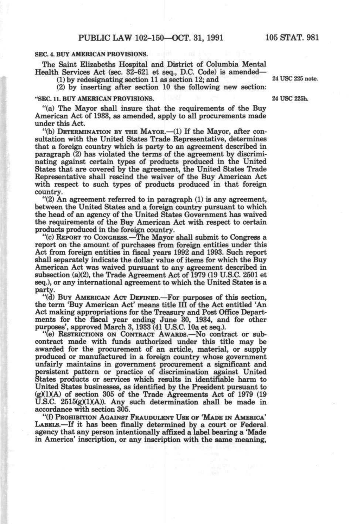#### **SEC. 4. BUY AMERICAN PROVISIONS.**

The Saint Elizabeths Hospital and District of Columbia Mental Health Services Act (sec. 32-621 et seq., D.C. Code) is amended—

(1) by redesignating section 11 as section 12; and 24 USC 225 note.

(2) by inserting after section 10 the following new section:

## **"SEC. 11. BUY AMERICAN PROVISIONS. 24 USC 225h.**

"(a) The Mayor shall insure that the requirements of the Buy American Act of 1933, as amended, apply to all procurements made under this Act.

"(b) DETERMINATION BY THE MAYOR.—(1) If the Mayor, after consultation with the United States Trade Representative, determines that a foreign country which is party to an agreement described in paragraph (2) has violated the terms of the agreement by discriminating against certain types of products produced in the United States that are covered by the agreement, the United States Trade Representative shall rescind the waiver of the Buy American Act with respect to such *types* of products produced in that foreign country.

"(2) An agreement referred to in paragraph (1) is any agreement, between the United States and a foreign country pursuant to which the head of an agency of the United States Government has waived the requirements of the Buy American Act with respect to certain products produced in the foreign country.

"(c) REPORT TO CONGRESS.—The Mayor shall submit to Congress a report on the amount of purchases from foreign entities under this Act from foreign entities in fiscal years 1992 and 1993. Such report shall separately indicate the dollar value of items for which the Buy American Act was waived pursuant to any agreement described in subsection (a)(2), the Trade Agreement Act of 1979 (19 U.S.C. 2501 et seq.), or any international agreement to which the United States is a party.

"(d) BUY AMERICAN ACT DEFINED.—For purposes of this section, the term 'Buy American Act' means title III of the Act entitled 'An Act making appropriations for the Treasury and Post Office Departments for the fiscal year ending June 30, 1934, and for other purposes', approved March 3,1933 (41 U.S.C. 10a et seq.).

"(e) RESTRICTIONS ON CONTRACT AWARDS.—NO contract or subcontract made with funds authorized under this title may be awarded for the procurement of an article, material, or supply produced or manufactured in a foreign country whose government unfairly maintains in government procurement a significant and persistent pattern or practice of discrimination against United States products or services which results in identifiable harm to United States businesses, as identified by the President pursuant to  $(g)(1)(A)$  of section 305 of the Trade Agreements Act of 1979 (19 U.S.C.  $2515(g)(1)(A)$ ). Any such determination shall be made in accordance with section 305.

"(f) PROHIBITION AGAINST FRAUDULENT USE OF 'MADE IN AMERICA' LABELS.—If it has been finally determined by a court or Federal agency that any person intentionally affixed a label bearing a 'Made in America' inscription, or any inscription with the same meaning.